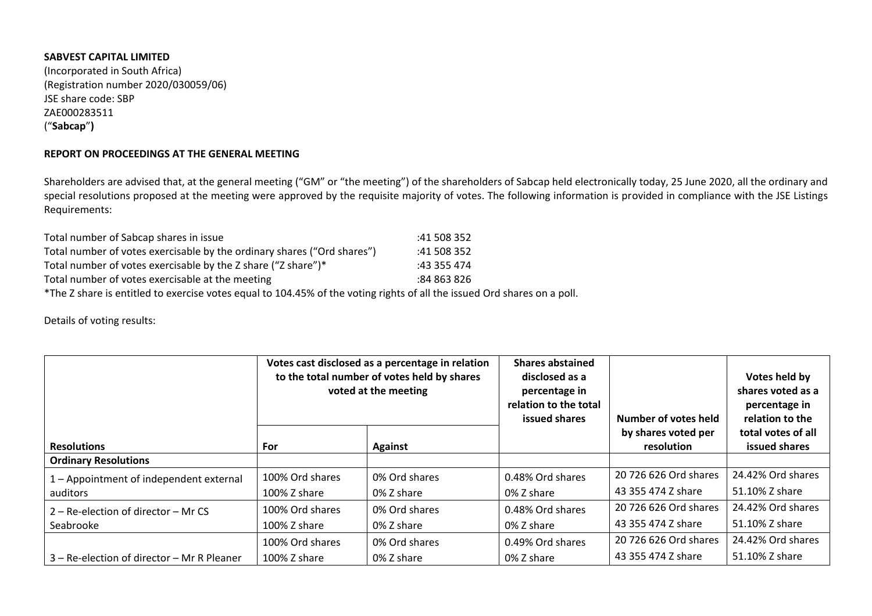## **SABVEST CAPITAL LIMITED**

(Incorporated in South Africa) (Registration number 2020/030059/06) JSE share code: SBP ZAE000283511 ("**Sabcap**"**)**

## **REPORT ON PROCEEDINGS AT THE GENERAL MEETING**

Shareholders are advised that, at the general meeting ("GM" or "the meeting") of the shareholders of Sabcap held electronically today, 25 June 2020, all the ordinary and special resolutions proposed at the meeting were approved by the requisite majority of votes. The following information is provided in compliance with the JSE Listings Requirements:

| Total number of Sabcap shares in issue                                                                                   | :41 508 352 |
|--------------------------------------------------------------------------------------------------------------------------|-------------|
| Total number of votes exercisable by the ordinary shares ("Ord shares")                                                  | :41 508 352 |
| Total number of votes exercisable by the Z share ("Z share")*                                                            | :43 355 474 |
| Total number of votes exercisable at the meeting                                                                         | :84 863 826 |
| *The Z share is entitled to exercise votes equal to 104.45% of the voting rights of all the issued Ord shares on a poll. |             |

Details of voting results:

|                                            | Votes cast disclosed as a percentage in relation<br>to the total number of votes held by shares<br>voted at the meeting |                | <b>Shares abstained</b><br>disclosed as a<br>percentage in<br>relation to the total<br>issued shares | Number of votes held              | Votes held by<br>shares voted as a<br>percentage in<br>relation to the |
|--------------------------------------------|-------------------------------------------------------------------------------------------------------------------------|----------------|------------------------------------------------------------------------------------------------------|-----------------------------------|------------------------------------------------------------------------|
| <b>Resolutions</b>                         | For                                                                                                                     | <b>Against</b> |                                                                                                      | by shares voted per<br>resolution | total votes of all<br>issued shares                                    |
| <b>Ordinary Resolutions</b>                |                                                                                                                         |                |                                                                                                      |                                   |                                                                        |
| 1 - Appointment of independent external    | 100% Ord shares                                                                                                         | 0% Ord shares  | 0.48% Ord shares                                                                                     | 20 726 626 Ord shares             | 24.42% Ord shares                                                      |
| auditors                                   | 100% Z share                                                                                                            | 0% Z share     | 0% Z share                                                                                           | 43 355 474 Z share                | 51.10% Z share                                                         |
| $2 -$ Re-election of director $-$ Mr CS    | 100% Ord shares                                                                                                         | 0% Ord shares  | 0.48% Ord shares                                                                                     | 20 726 626 Ord shares             | 24.42% Ord shares                                                      |
| Seabrooke                                  | 100% Z share                                                                                                            | 0% Z share     | 0% Z share                                                                                           | 43 355 474 Z share                | 51.10% Z share                                                         |
|                                            | 100% Ord shares                                                                                                         | 0% Ord shares  | 0.49% Ord shares                                                                                     | 20 726 626 Ord shares             | 24.42% Ord shares                                                      |
| 3 - Re-election of director - Mr R Pleaner | 100% Z share                                                                                                            | 0% Z share     | 0% Z share                                                                                           | 43 355 474 Z share                | 51.10% Z share                                                         |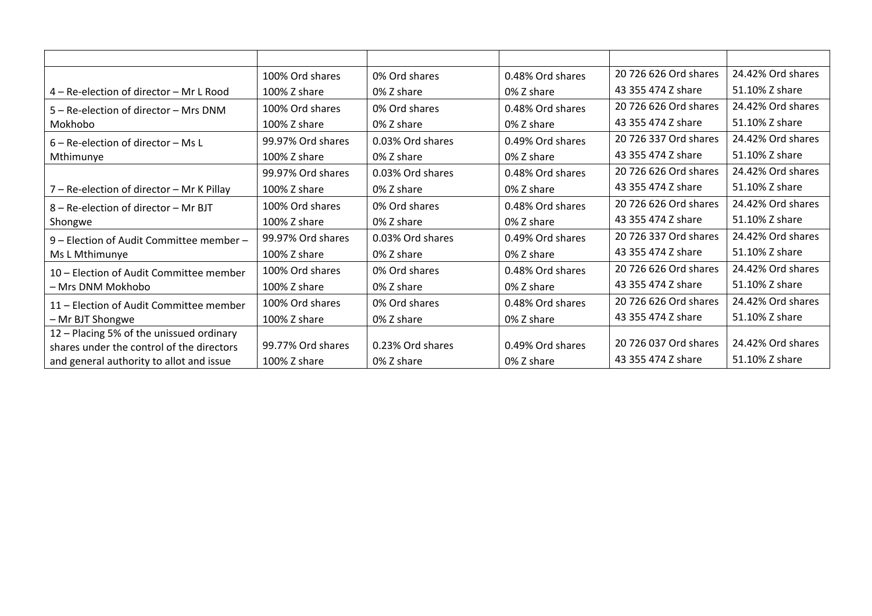|                                           | 100% Ord shares   | 0% Ord shares    | 0.48% Ord shares | 20 726 626 Ord shares | 24.42% Ord shares |
|-------------------------------------------|-------------------|------------------|------------------|-----------------------|-------------------|
| 4 – Re-election of director – Mr L Rood   | 100% Z share      | 0% Z share       | 0% Z share       | 43 355 474 Z share    | 51.10% Z share    |
| 5 - Re-election of director - Mrs DNM     | 100% Ord shares   | 0% Ord shares    | 0.48% Ord shares | 20 726 626 Ord shares | 24.42% Ord shares |
| Mokhobo                                   | 100% Z share      | 0% Z share       | 0% Z share       | 43 355 474 Z share    | 51.10% Z share    |
| $6 -$ Re-election of director $-$ Ms L    | 99.97% Ord shares | 0.03% Ord shares | 0.49% Ord shares | 20 726 337 Ord shares | 24.42% Ord shares |
| Mthimunye                                 | 100% Z share      | 0% Z share       | 0% Z share       | 43 355 474 Z share    | 51.10% Z share    |
|                                           | 99.97% Ord shares | 0.03% Ord shares | 0.48% Ord shares | 20 726 626 Ord shares | 24.42% Ord shares |
| 7 - Re-election of director - Mr K Pillay | 100% Z share      | 0% Z share       | 0% Z share       | 43 355 474 Z share    | 51.10% Z share    |
| 8 - Re-election of director - Mr BJT      | 100% Ord shares   | 0% Ord shares    | 0.48% Ord shares | 20 726 626 Ord shares | 24.42% Ord shares |
| Shongwe                                   | 100% Z share      | 0% Z share       | 0% Z share       | 43 355 474 Z share    | 51.10% Z share    |
| 9 - Election of Audit Committee member -  | 99.97% Ord shares | 0.03% Ord shares | 0.49% Ord shares | 20 726 337 Ord shares | 24.42% Ord shares |
| Ms L Mthimunye                            | 100% Z share      | 0% Z share       | 0% Z share       | 43 355 474 Z share    | 51.10% Z share    |
| 10 - Election of Audit Committee member   | 100% Ord shares   | 0% Ord shares    | 0.48% Ord shares | 20 726 626 Ord shares | 24.42% Ord shares |
| - Mrs DNM Mokhobo                         | 100% Z share      | 0% Z share       | 0% Z share       | 43 355 474 Z share    | 51.10% Z share    |
| 11 - Election of Audit Committee member   | 100% Ord shares   | 0% Ord shares    | 0.48% Ord shares | 20 726 626 Ord shares | 24.42% Ord shares |
| - Mr BJT Shongwe                          | 100% Z share      | 0% Z share       | 0% Z share       | 43 355 474 Z share    | 51.10% Z share    |
| 12 - Placing 5% of the unissued ordinary  |                   |                  |                  |                       |                   |
| shares under the control of the directors | 99.77% Ord shares | 0.23% Ord shares | 0.49% Ord shares | 20 726 037 Ord shares | 24.42% Ord shares |
| and general authority to allot and issue  | 100% Z share      | 0% Z share       | 0% Z share       | 43 355 474 Z share    | 51.10% Z share    |